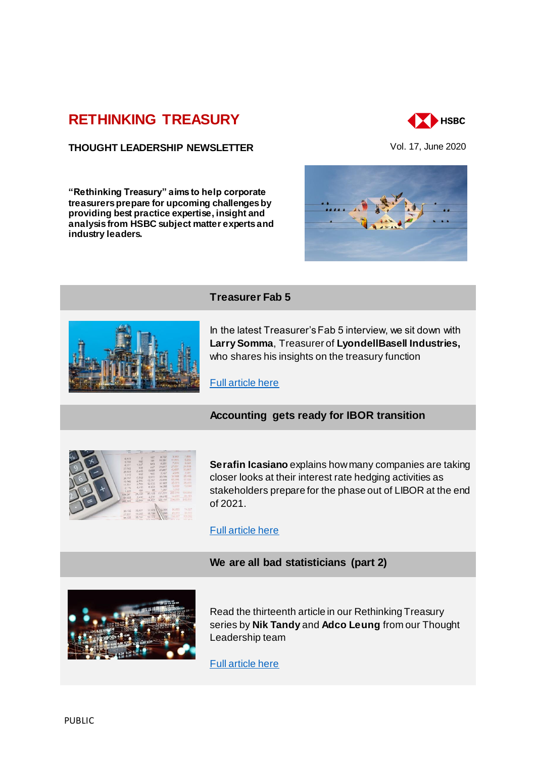# **[RETHINKING TREASURY](http://www.gbm.hsbc.com/the-new-future#rethinking-treasury)**

## **THOUGHT LEADERSHIP NEWSLETTER** Vol. 17, June 2020

**"Rethinking Treasury" aims to help corporate treasurers prepare for upcoming challenges by providing best practice expertise, insight and analysis from HSBC subject matter experts and industry leaders.** 



**XX** HSBC





#### **Treasurer Fab 5**

In the latest Treasurer's Fab 5 interview, we sit down with **Larry Somma**, Treasurer of **LyondellBasell Industries,**  who shares his insights on the treasury function

[Full article here](https://gbm-ca01.gwe.pws.internal.hsbc/insights/markets/treasurer-of-lyondellbasell-industries)

# **Accounting gets ready for IBOR transition**



**Serafin Icasiano** explains how many companies are taking closer looks at their interest rate hedging activities as stakeholders prepare for the phase out of LIBOR at the end of 2021.

## [Full article here](https://gbm-ca01.gwe.pws.internal.hsbc/insights/markets/accounting-gets-ready-for-the-ibor-transition)

#### **We are all bad statisticians (part 2)**



Read the thirteenth article in our Rethinking Treasury series by **Nik Tandy** and **Adco Leung** from our Thought Leadership team

[Full article here](https://gbm-ca01.gwe.pws.internal.hsbc/insights/markets/we-are-all-bad-statisticians-part-2?227)